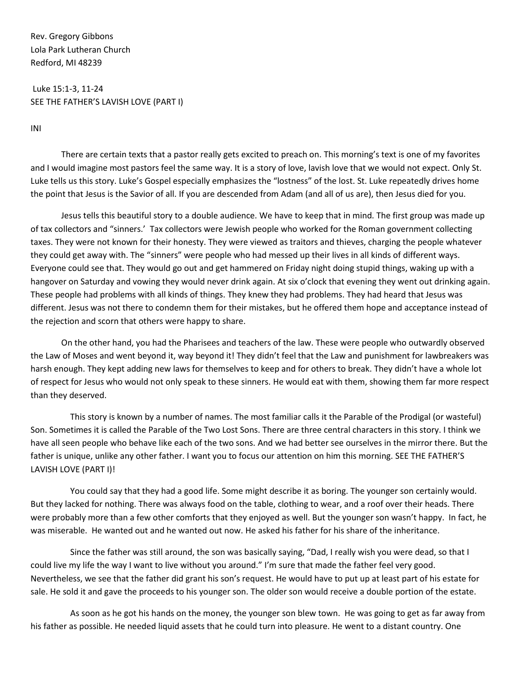Rev. Gregory Gibbons Lola Park Lutheran Church Redford, MI 48239

Luke 15:1-3, 11-24 SEE THE FATHER'S LAVISH LOVE (PART I)

INI

There are certain texts that a pastor really gets excited to preach on. This morning's text is one of my favorites and I would imagine most pastors feel the same way. It is a story of love, lavish love that we would not expect. Only St. Luke tells us this story. Luke's Gospel especially emphasizes the "lostness" of the lost. St. Luke repeatedly drives home the point that Jesus is the Savior of all. If you are descended from Adam (and all of us are), then Jesus died for you.

Jesus tells this beautiful story to a double audience. We have to keep that in mind. The first group was made up of tax collectors and "sinners.' Tax collectors were Jewish people who worked for the Roman government collecting taxes. They were not known for their honesty. They were viewed as traitors and thieves, charging the people whatever they could get away with. The "sinners" were people who had messed up their lives in all kinds of different ways. Everyone could see that. They would go out and get hammered on Friday night doing stupid things, waking up with a hangover on Saturday and vowing they would never drink again. At six o'clock that evening they went out drinking again. These people had problems with all kinds of things. They knew they had problems. They had heard that Jesus was different. Jesus was not there to condemn them for their mistakes, but he offered them hope and acceptance instead of the rejection and scorn that others were happy to share.

On the other hand, you had the Pharisees and teachers of the law. These were people who outwardly observed the Law of Moses and went beyond it, way beyond it! They didn't feel that the Law and punishment for lawbreakers was harsh enough. They kept adding new laws for themselves to keep and for others to break. They didn't have a whole lot of respect for Jesus who would not only speak to these sinners. He would eat with them, showing them far more respect than they deserved.

This story is known by a number of names. The most familiar calls it the Parable of the Prodigal (or wasteful) Son. Sometimes it is called the Parable of the Two Lost Sons. There are three central characters in this story. I think we have all seen people who behave like each of the two sons. And we had better see ourselves in the mirror there. But the father is unique, unlike any other father. I want you to focus our attention on him this morning. SEE THE FATHER'S LAVISH LOVE (PART I)!

You could say that they had a good life. Some might describe it as boring. The younger son certainly would. But they lacked for nothing. There was always food on the table, clothing to wear, and a roof over their heads. There were probably more than a few other comforts that they enjoyed as well. But the younger son wasn't happy. In fact, he was miserable. He wanted out and he wanted out now. He asked his father for his share of the inheritance.

Since the father was still around, the son was basically saying, "Dad, I really wish you were dead, so that I could live my life the way I want to live without you around." I'm sure that made the father feel very good. Nevertheless, we see that the father did grant his son's request. He would have to put up at least part of his estate for sale. He sold it and gave the proceeds to his younger son. The older son would receive a double portion of the estate.

As soon as he got his hands on the money, the younger son blew town. He was going to get as far away from his father as possible. He needed liquid assets that he could turn into pleasure. He went to a distant country. One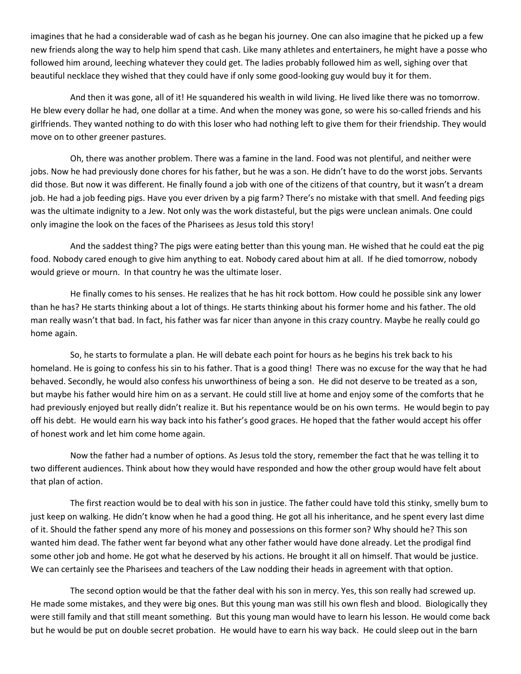imagines that he had a considerable wad of cash as he began his journey. One can also imagine that he picked up a few new friends along the way to help him spend that cash. Like many athletes and entertainers, he might have a posse who followed him around, leeching whatever they could get. The ladies probably followed him as well, sighing over that beautiful necklace they wished that they could have if only some good-looking guy would buy it for them.

And then it was gone, all of it! He squandered his wealth in wild living. He lived like there was no tomorrow. He blew every dollar he had, one dollar at a time. And when the money was gone, so were his so-called friends and his girlfriends. They wanted nothing to do with this loser who had nothing left to give them for their friendship. They would move on to other greener pastures.

Oh, there was another problem. There was a famine in the land. Food was not plentiful, and neither were jobs. Now he had previously done chores for his father, but he was a son. He didn't have to do the worst jobs. Servants did those. But now it was different. He finally found a job with one of the citizens of that country, but it wasn't a dream job. He had a job feeding pigs. Have you ever driven by a pig farm? There's no mistake with that smell. And feeding pigs was the ultimate indignity to a Jew. Not only was the work distasteful, but the pigs were unclean animals. One could only imagine the look on the faces of the Pharisees as Jesus told this story!

And the saddest thing? The pigs were eating better than this young man. He wished that he could eat the pig food. Nobody cared enough to give him anything to eat. Nobody cared about him at all. If he died tomorrow, nobody would grieve or mourn. In that country he was the ultimate loser.

He finally comes to his senses. He realizes that he has hit rock bottom. How could he possible sink any lower than he has? He starts thinking about a lot of things. He starts thinking about his former home and his father. The old man really wasn't that bad. In fact, his father was far nicer than anyone in this crazy country. Maybe he really could go home again.

So, he starts to formulate a plan. He will debate each point for hours as he begins his trek back to his homeland. He is going to confess his sin to his father. That is a good thing! There was no excuse for the way that he had behaved. Secondly, he would also confess his unworthiness of being a son. He did not deserve to be treated as a son, but maybe his father would hire him on as a servant. He could still live at home and enjoy some of the comforts that he had previously enjoyed but really didn't realize it. But his repentance would be on his own terms. He would begin to pay off his debt. He would earn his way back into his father's good graces. He hoped that the father would accept his offer of honest work and let him come home again.

Now the father had a number of options. As Jesus told the story, remember the fact that he was telling it to two different audiences. Think about how they would have responded and how the other group would have felt about that plan of action.

The first reaction would be to deal with his son in justice. The father could have told this stinky, smelly bum to just keep on walking. He didn't know when he had a good thing. He got all his inheritance, and he spent every last dime of it. Should the father spend any more of his money and possessions on this former son? Why should he? This son wanted him dead. The father went far beyond what any other father would have done already. Let the prodigal find some other job and home. He got what he deserved by his actions. He brought it all on himself. That would be justice. We can certainly see the Pharisees and teachers of the Law nodding their heads in agreement with that option.

The second option would be that the father deal with his son in mercy. Yes, this son really had screwed up. He made some mistakes, and they were big ones. But this young man was still his own flesh and blood. Biologically they were still family and that still meant something. But this young man would have to learn his lesson. He would come back but he would be put on double secret probation. He would have to earn his way back. He could sleep out in the barn